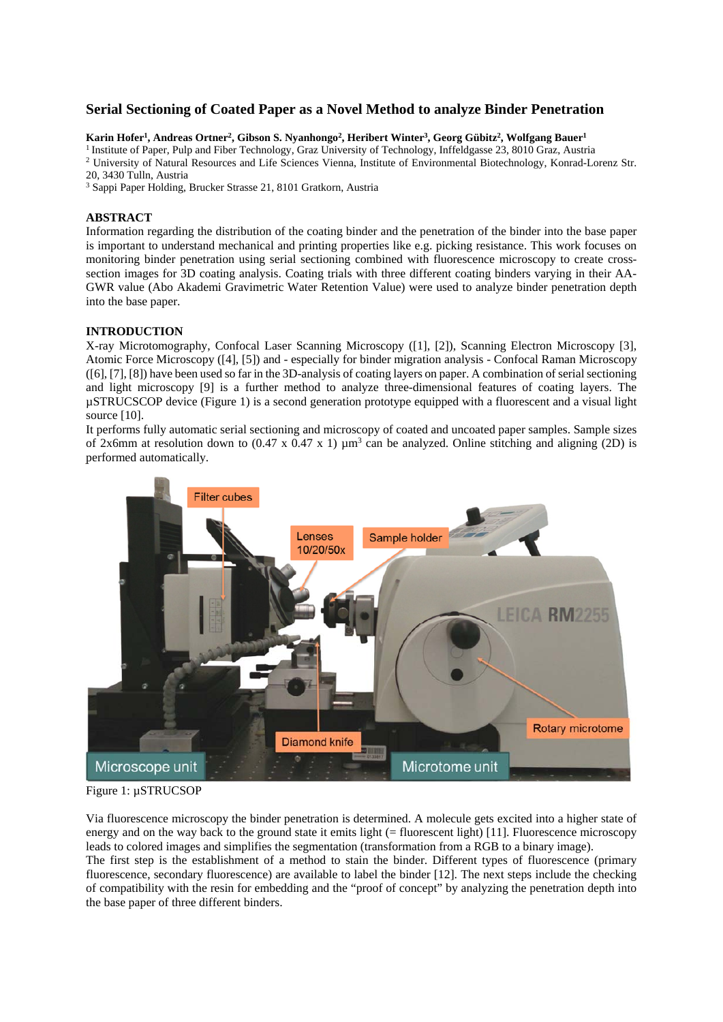# **Serial Sectioning of Coated Paper as a Novel Method to analyze Binder Penetration**

#### Karin Hofer<sup>1</sup>, Andreas Ortner<sup>2</sup>, Gibson S. Nyanhongo<sup>2</sup>, Heribert Winter<sup>3</sup>, Georg Gübitz<sup>2</sup>, Wolfgang Bauer<sup>1</sup>

<sup>1</sup> Institute of Paper, Pulp and Fiber Technology, Graz University of Technology, Inffeldgasse 23, 8010 Graz, Austria <sup>2</sup> University of Natural Resources and Life Sciences Vienna, Institute of Environmental Biotechnology,

20, 3430 Tulln, Austria

3 Sappi Paper Holding, Brucker Strasse 21, 8101 Gratkorn, Austria

## **ABSTRACT**

Information regarding the distribution of the coating binder and the penetration of the binder into the base paper is important to understand mechanical and printing properties like e.g. picking resistance. This work focuses on monitoring binder penetration using serial sectioning combined with fluorescence microscopy to create crosssection images for 3D coating analysis. Coating trials with three different coating binders varying in their AA-GWR value (Abo Akademi Gravimetric Water Retention Value) were used to analyze binder penetration depth into the base paper.

#### **INTRODUCTION**

X-ray Microtomography, Confocal Laser Scanning Microscopy ([1], [2]), Scanning Electron Microscopy [3], Atomic Force Microscopy ([4], [5]) and - especially for binder migration analysis - Confocal Raman Microscopy ([6], [7], [8]) have been used so far in the 3D-analysis of coating layers on paper. A combination of serial sectioning and light microscopy [9] is a further method to analyze three-dimensional features of coating layers. The µSTRUCSCOP device (Figure 1) is a second generation prototype equipped with a fluorescent and a visual light source [10].

It performs fully automatic serial sectioning and microscopy of coated and uncoated paper samples. Sample sizes of 2x6mm at resolution down to  $(0.47 \times 0.47 \times 1) \mu m^3$  can be analyzed. Online stitching and aligning (2D) is performed automatically.



Figure 1: µSTRUCSOP

Via fluorescence microscopy the binder penetration is determined. A molecule gets excited into a higher state of energy and on the way back to the ground state it emits light (= fluorescent light) [11]. Fluorescence microscopy leads to colored images and simplifies the segmentation (transformation from a RGB to a binary image).

The first step is the establishment of a method to stain the binder. Different types of fluorescence (primary fluorescence, secondary fluorescence) are available to label the binder [12]. The next steps include the checking of compatibility with the resin for embedding and the "proof of concept" by analyzing the penetration depth into the base paper of three different binders.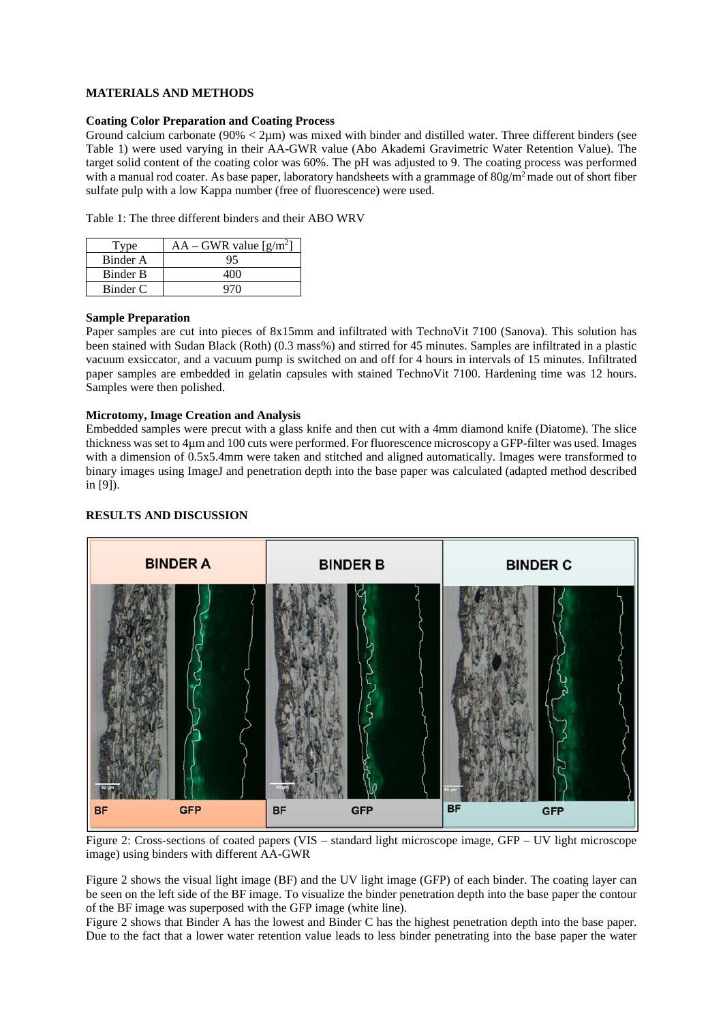### **MATERIALS AND METHODS**

### **Coating Color Preparation and Coating Process**

Ground calcium carbonate ( $90\% < 2\mu$ m) was mixed with binder and distilled water. Three different binders (see Table 1) were used varying in their AA-GWR value (Abo Akademi Gravimetric Water Retention Value). The target solid content of the coating color was 60%. The pH was adjusted to 9. The coating process was performed with a manual rod coater. As base paper, laboratory handsheets with a grammage of  $80g/m<sup>2</sup>$  made out of short fiber sulfate pulp with a low Kappa number (free of fluorescence) were used.

Table 1: The three different binders and their ABO WRV

| Type     | $AA - GWR$ value [g/m <sup>2</sup> ] |
|----------|--------------------------------------|
| Binder A |                                      |
| Binder B |                                      |
| Binder C |                                      |

### **Sample Preparation**

Paper samples are cut into pieces of 8x15mm and infiltrated with TechnoVit 7100 (Sanova). This solution has been stained with Sudan Black (Roth) (0.3 mass%) and stirred for 45 minutes. Samples are infiltrated in a plastic vacuum exsiccator, and a vacuum pump is switched on and off for 4 hours in intervals of 15 minutes. Infiltrated paper samples are embedded in gelatin capsules with stained TechnoVit 7100. Hardening time was 12 hours. Samples were then polished.

### **Microtomy, Image Creation and Analysis**

Embedded samples were precut with a glass knife and then cut with a 4mm diamond knife (Diatome). The slice thickness was set to 4µm and 100 cuts were performed. For fluorescence microscopy a GFP-filter was used. Images with a dimension of 0.5x5.4mm were taken and stitched and aligned automatically. Images were transformed to binary images using ImageJ and penetration depth into the base paper was calculated (adapted method described in [9]).

### **RESULTS AND DISCUSSION**



Figure 2: Cross-sections of coated papers (VIS – standard light microscope image, GFP – UV light microscope image) using binders with different AA-GWR

Figure 2 shows the visual light image (BF) and the UV light image (GFP) of each binder. The coating layer can be seen on the left side of the BF image. To visualize the binder penetration depth into the base paper the contour of the BF image was superposed with the GFP image (white line).

Figure 2 shows that Binder A has the lowest and Binder C has the highest penetration depth into the base paper. Due to the fact that a lower water retention value leads to less binder penetrating into the base paper the water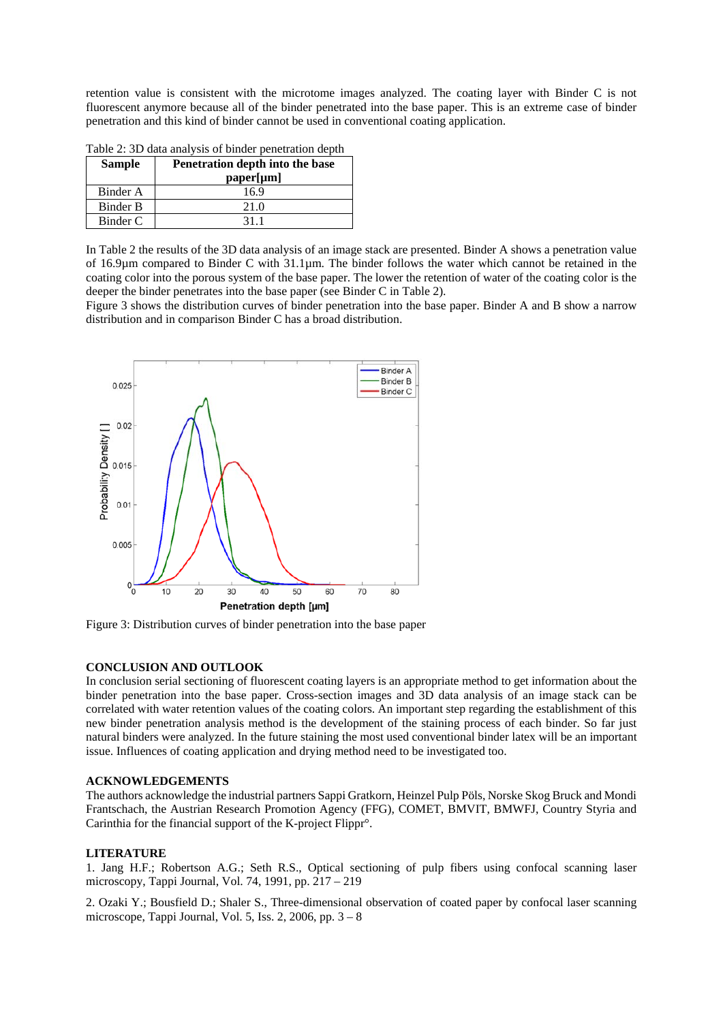retention value is consistent with the microtome images analyzed. The coating layer with Binder C is not fluorescent anymore because all of the binder penetrated into the base paper. This is an extreme case of binder penetration and this kind of binder cannot be used in conventional coating application.

Table 2: 3D data analysis of binder penetration depth

| <b>Sample</b> | Penetration depth into the base |
|---------------|---------------------------------|
|               | paper[µm]                       |
| Binder A      | 16.9                            |
| Binder B      | 21.0                            |
| Binder C      | 311                             |

In Table 2 the results of the 3D data analysis of an image stack are presented. Binder A shows a penetration value of 16.9µm compared to Binder C with 31.1µm. The binder follows the water which cannot be retained in the coating color into the porous system of the base paper. The lower the retention of water of the coating color is the deeper the binder penetrates into the base paper (see Binder C in Table 2).

Figure 3 shows the distribution curves of binder penetration into the base paper. Binder A and B show a narrow distribution and in comparison Binder C has a broad distribution.



Figure 3: Distribution curves of binder penetration into the base paper

#### **CONCLUSION AND OUTLOOK**

In conclusion serial sectioning of fluorescent coating layers is an appropriate method to get information about the binder penetration into the base paper. Cross-section images and 3D data analysis of an image stack can be correlated with water retention values of the coating colors. An important step regarding the establishment of this new binder penetration analysis method is the development of the staining process of each binder. So far just natural binders were analyzed. In the future staining the most used conventional binder latex will be an important issue. Influences of coating application and drying method need to be investigated too.

#### **ACKNOWLEDGEMENTS**

The authors acknowledge the industrial partners Sappi Gratkorn, Heinzel Pulp Pöls, Norske Skog Bruck and Mondi Frantschach, the Austrian Research Promotion Agency (FFG), COMET, BMVIT, BMWFJ, Country Styria and Carinthia for the financial support of the K-project Flippr°.

#### **LITERATURE**

1. Jang H.F.; Robertson A.G.; Seth R.S., Optical sectioning of pulp fibers using confocal scanning laser microscopy, Tappi Journal, Vol. 74, 1991, pp. 217 – 219

2. Ozaki Y.; Bousfield D.; Shaler S., Three-dimensional observation of coated paper by confocal laser scanning microscope, Tappi Journal, Vol. 5, Iss. 2, 2006, pp. 3 – 8